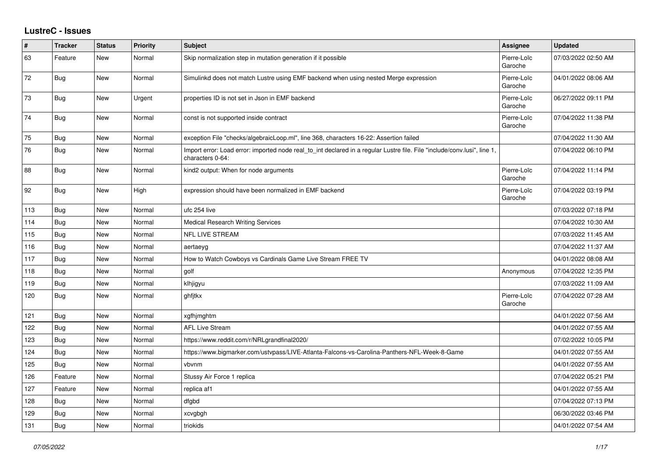## **LustreC - Issues**

| $\pmb{\#}$ | <b>Tracker</b> | <b>Status</b> | <b>Priority</b> | <b>Subject</b>                                                                                                                               | Assignee               | <b>Updated</b>      |
|------------|----------------|---------------|-----------------|----------------------------------------------------------------------------------------------------------------------------------------------|------------------------|---------------------|
| 63         | Feature        | <b>New</b>    | Normal          | Skip normalization step in mutation generation if it possible                                                                                | Pierre-Loïc<br>Garoche | 07/03/2022 02:50 AM |
| 72         | <b>Bug</b>     | New           | Normal          | Simulinkd does not match Lustre using EMF backend when using nested Merge expression                                                         | Pierre-Loïc<br>Garoche | 04/01/2022 08:06 AM |
| 73         | <b>Bug</b>     | New           | Urgent          | properties ID is not set in Json in EMF backend                                                                                              | Pierre-Loïc<br>Garoche | 06/27/2022 09:11 PM |
| 74         | Bug            | New           | Normal          | const is not supported inside contract                                                                                                       | Pierre-Loïc<br>Garoche | 07/04/2022 11:38 PM |
| 75         | Bug            | New           | Normal          | exception File "checks/algebraicLoop.ml", line 368, characters 16-22: Assertion failed                                                       |                        | 07/04/2022 11:30 AM |
| 76         | Bug            | New           | Normal          | Import error: Load error: imported node real to int declared in a regular Lustre file. File "include/conv.lusi", line 1,<br>characters 0-64: |                        | 07/04/2022 06:10 PM |
| 88         | <b>Bug</b>     | New           | Normal          | kind2 output: When for node arguments                                                                                                        | Pierre-Loïc<br>Garoche | 07/04/2022 11:14 PM |
| 92         | <b>Bug</b>     | New           | High            | expression should have been normalized in EMF backend                                                                                        | Pierre-Loïc<br>Garoche | 07/04/2022 03:19 PM |
| 113        | Bug            | New           | Normal          | ufc 254 live                                                                                                                                 |                        | 07/03/2022 07:18 PM |
| 114        | <b>Bug</b>     | <b>New</b>    | Normal          | <b>Medical Research Writing Services</b>                                                                                                     |                        | 07/04/2022 10:30 AM |
| 115        | Bug            | New           | Normal          | NFL LIVE STREAM                                                                                                                              |                        | 07/03/2022 11:45 AM |
| 116        | Bug            | <b>New</b>    | Normal          | aertaeyg                                                                                                                                     |                        | 07/04/2022 11:37 AM |
| 117        | <b>Bug</b>     | <b>New</b>    | Normal          | How to Watch Cowboys vs Cardinals Game Live Stream FREE TV                                                                                   |                        | 04/01/2022 08:08 AM |
| 118        | <b>Bug</b>     | New           | Normal          | golf                                                                                                                                         | Anonymous              | 07/04/2022 12:35 PM |
| 119        | Bug            | <b>New</b>    | Normal          | klhjigyu                                                                                                                                     |                        | 07/03/2022 11:09 AM |
| 120        | <b>Bug</b>     | New           | Normal          | ghfitkx                                                                                                                                      | Pierre-Loïc<br>Garoche | 07/04/2022 07:28 AM |
| 121        | <b>Bug</b>     | New           | Normal          | xgfhjmghtm                                                                                                                                   |                        | 04/01/2022 07:56 AM |
| 122        | Bug            | New           | Normal          | <b>AFL Live Stream</b>                                                                                                                       |                        | 04/01/2022 07:55 AM |
| 123        | <b>Bug</b>     | New           | Normal          | https://www.reddit.com/r/NRLgrandfinal2020/                                                                                                  |                        | 07/02/2022 10:05 PM |
| 124        | <b>Bug</b>     | <b>New</b>    | Normal          | https://www.bigmarker.com/ustvpass/LIVE-Atlanta-Falcons-vs-Carolina-Panthers-NFL-Week-8-Game                                                 |                        | 04/01/2022 07:55 AM |
| 125        | Bug            | New           | Normal          | vbvnm                                                                                                                                        |                        | 04/01/2022 07:55 AM |
| 126        | Feature        | <b>New</b>    | Normal          | Stussy Air Force 1 replica                                                                                                                   |                        | 07/04/2022 05:21 PM |
| 127        | Feature        | New           | Normal          | replica af1                                                                                                                                  |                        | 04/01/2022 07:55 AM |
| 128        | Bug            | <b>New</b>    | Normal          | dfabd                                                                                                                                        |                        | 07/04/2022 07:13 PM |
| 129        | <b>Bug</b>     | New           | Normal          | xcvgbgh                                                                                                                                      |                        | 06/30/2022 03:46 PM |
| 131        | Bug            | New           | Normal          | triokids                                                                                                                                     |                        | 04/01/2022 07:54 AM |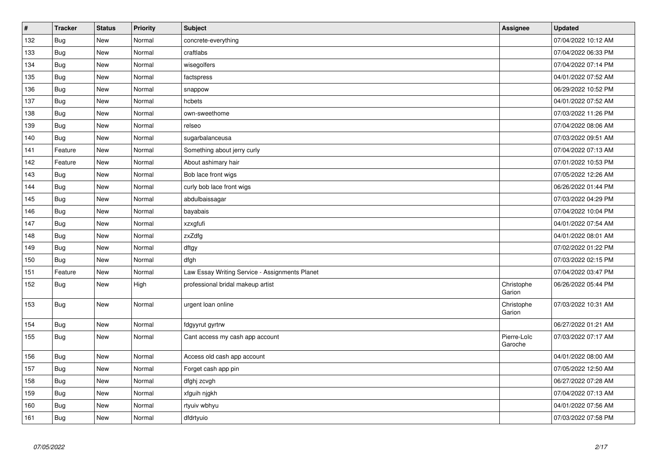| $\vert$ # | <b>Tracker</b> | <b>Status</b> | Priority | Subject                                        | <b>Assignee</b>        | <b>Updated</b>      |
|-----------|----------------|---------------|----------|------------------------------------------------|------------------------|---------------------|
| 132       | Bug            | New           | Normal   | concrete-everything                            |                        | 07/04/2022 10:12 AM |
| 133       | <b>Bug</b>     | <b>New</b>    | Normal   | craftlabs                                      |                        | 07/04/2022 06:33 PM |
| 134       | Bug            | New           | Normal   | wisegolfers                                    |                        | 07/04/2022 07:14 PM |
| 135       | <b>Bug</b>     | New           | Normal   | factspress                                     |                        | 04/01/2022 07:52 AM |
| 136       | Bug            | New           | Normal   | snappow                                        |                        | 06/29/2022 10:52 PM |
| 137       | <b>Bug</b>     | New           | Normal   | hcbets                                         |                        | 04/01/2022 07:52 AM |
| 138       | Bug            | New           | Normal   | own-sweethome                                  |                        | 07/03/2022 11:26 PM |
| 139       | <b>Bug</b>     | New           | Normal   | relseo                                         |                        | 07/04/2022 08:06 AM |
| 140       | <b>Bug</b>     | New           | Normal   | sugarbalanceusa                                |                        | 07/03/2022 09:51 AM |
| 141       | Feature        | New           | Normal   | Something about jerry curly                    |                        | 07/04/2022 07:13 AM |
| 142       | Feature        | New           | Normal   | About ashimary hair                            |                        | 07/01/2022 10:53 PM |
| 143       | <b>Bug</b>     | New           | Normal   | Bob lace front wigs                            |                        | 07/05/2022 12:26 AM |
| 144       | <b>Bug</b>     | New           | Normal   | curly bob lace front wigs                      |                        | 06/26/2022 01:44 PM |
| 145       | Bug            | New           | Normal   | abdulbaissagar                                 |                        | 07/03/2022 04:29 PM |
| 146       | <b>Bug</b>     | New           | Normal   | bayabais                                       |                        | 07/04/2022 10:04 PM |
| 147       | Bug            | New           | Normal   | xzxgfufi                                       |                        | 04/01/2022 07:54 AM |
| 148       | <b>Bug</b>     | <b>New</b>    | Normal   | zxZdfg                                         |                        | 04/01/2022 08:01 AM |
| 149       | Bug            | New           | Normal   | dftgy                                          |                        | 07/02/2022 01:22 PM |
| 150       | <b>Bug</b>     | New           | Normal   | dfgh                                           |                        | 07/03/2022 02:15 PM |
| 151       | Feature        | New           | Normal   | Law Essay Writing Service - Assignments Planet |                        | 07/04/2022 03:47 PM |
| 152       | <b>Bug</b>     | New           | High     | professional bridal makeup artist              | Christophe<br>Garion   | 06/26/2022 05:44 PM |
| 153       | <b>Bug</b>     | New           | Normal   | urgent loan online                             | Christophe<br>Garion   | 07/03/2022 10:31 AM |
| 154       | Bug            | New           | Normal   | fdgyyrut gyrtrw                                |                        | 06/27/2022 01:21 AM |
| 155       | <b>Bug</b>     | New           | Normal   | Cant access my cash app account                | Pierre-Loïc<br>Garoche | 07/03/2022 07:17 AM |
| 156       | <b>Bug</b>     | New           | Normal   | Access old cash app account                    |                        | 04/01/2022 08:00 AM |
| 157       | Bug            | New           | Normal   | Forget cash app pin                            |                        | 07/05/2022 12:50 AM |
| 158       | Bug            | New           | Normal   | dfghj zcvgh                                    |                        | 06/27/2022 07:28 AM |
| 159       | <b>Bug</b>     | New           | Normal   | xfguih njgkh                                   |                        | 07/04/2022 07:13 AM |
| 160       | <b>Bug</b>     | New           | Normal   | rtyuiv wbhyu                                   |                        | 04/01/2022 07:56 AM |
| 161       | <b>Bug</b>     | New           | Normal   | dfdrtyuio                                      |                        | 07/03/2022 07:58 PM |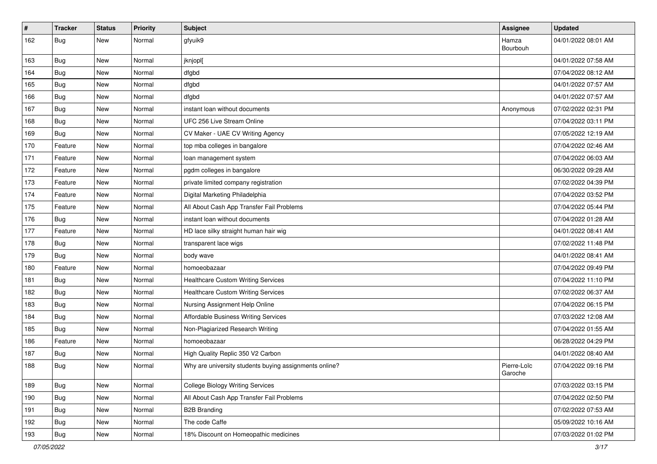| #   | <b>Tracker</b> | <b>Status</b> | <b>Priority</b> | <b>Subject</b>                                         | <b>Assignee</b>        | <b>Updated</b>      |
|-----|----------------|---------------|-----------------|--------------------------------------------------------|------------------------|---------------------|
| 162 | <b>Bug</b>     | New           | Normal          | gfyuik9                                                | Hamza<br>Bourbouh      | 04/01/2022 08:01 AM |
| 163 | Bug            | New           | Normal          | jknjopl[                                               |                        | 04/01/2022 07:58 AM |
| 164 | <b>Bug</b>     | New           | Normal          | dfgbd                                                  |                        | 07/04/2022 08:12 AM |
| 165 | <b>Bug</b>     | New           | Normal          | dfgbd                                                  |                        | 04/01/2022 07:57 AM |
| 166 | Bug            | New           | Normal          | dfgbd                                                  |                        | 04/01/2022 07:57 AM |
| 167 | <b>Bug</b>     | New           | Normal          | instant loan without documents                         | Anonymous              | 07/02/2022 02:31 PM |
| 168 | <b>Bug</b>     | New           | Normal          | UFC 256 Live Stream Online                             |                        | 07/04/2022 03:11 PM |
| 169 | Bug            | New           | Normal          | CV Maker - UAE CV Writing Agency                       |                        | 07/05/2022 12:19 AM |
| 170 | Feature        | New           | Normal          | top mba colleges in bangalore                          |                        | 07/04/2022 02:46 AM |
| 171 | Feature        | New           | Normal          | loan management system                                 |                        | 07/04/2022 06:03 AM |
| 172 | Feature        | New           | Normal          | pgdm colleges in bangalore                             |                        | 06/30/2022 09:28 AM |
| 173 | Feature        | New           | Normal          | private limited company registration                   |                        | 07/02/2022 04:39 PM |
| 174 | Feature        | New           | Normal          | Digital Marketing Philadelphia                         |                        | 07/04/2022 03:52 PM |
| 175 | Feature        | New           | Normal          | All About Cash App Transfer Fail Problems              |                        | 07/04/2022 05:44 PM |
| 176 | <b>Bug</b>     | New           | Normal          | instant loan without documents                         |                        | 07/04/2022 01:28 AM |
| 177 | Feature        | New           | Normal          | HD lace silky straight human hair wig                  |                        | 04/01/2022 08:41 AM |
| 178 | <b>Bug</b>     | New           | Normal          | transparent lace wigs                                  |                        | 07/02/2022 11:48 PM |
| 179 | Bug            | New           | Normal          | body wave                                              |                        | 04/01/2022 08:41 AM |
| 180 | Feature        | New           | Normal          | homoeobazaar                                           |                        | 07/04/2022 09:49 PM |
| 181 | Bug            | New           | Normal          | Healthcare Custom Writing Services                     |                        | 07/04/2022 11:10 PM |
| 182 | <b>Bug</b>     | New           | Normal          | <b>Healthcare Custom Writing Services</b>              |                        | 07/02/2022 06:37 AM |
| 183 | <b>Bug</b>     | New           | Normal          | Nursing Assignment Help Online                         |                        | 07/04/2022 06:15 PM |
| 184 | <b>Bug</b>     | New           | Normal          | Affordable Business Writing Services                   |                        | 07/03/2022 12:08 AM |
| 185 | <b>Bug</b>     | New           | Normal          | Non-Plagiarized Research Writing                       |                        | 07/04/2022 01:55 AM |
| 186 | Feature        | New           | Normal          | homoeobazaar                                           |                        | 06/28/2022 04:29 PM |
| 187 | <b>Bug</b>     | New           | Normal          | High Quality Replic 350 V2 Carbon                      |                        | 04/01/2022 08:40 AM |
| 188 | <b>Bug</b>     | New           | Normal          | Why are university students buying assignments online? | Pierre-Loïc<br>Garoche | 07/04/2022 09:16 PM |
| 189 | Bug            | New           | Normal          | <b>College Biology Writing Services</b>                |                        | 07/03/2022 03:15 PM |
| 190 | <b>Bug</b>     | New           | Normal          | All About Cash App Transfer Fail Problems              |                        | 07/04/2022 02:50 PM |
| 191 | <b>Bug</b>     | New           | Normal          | <b>B2B Branding</b>                                    |                        | 07/02/2022 07:53 AM |
| 192 | <b>Bug</b>     | New           | Normal          | The code Caffe                                         |                        | 05/09/2022 10:16 AM |
| 193 | Bug            | New           | Normal          | 18% Discount on Homeopathic medicines                  |                        | 07/03/2022 01:02 PM |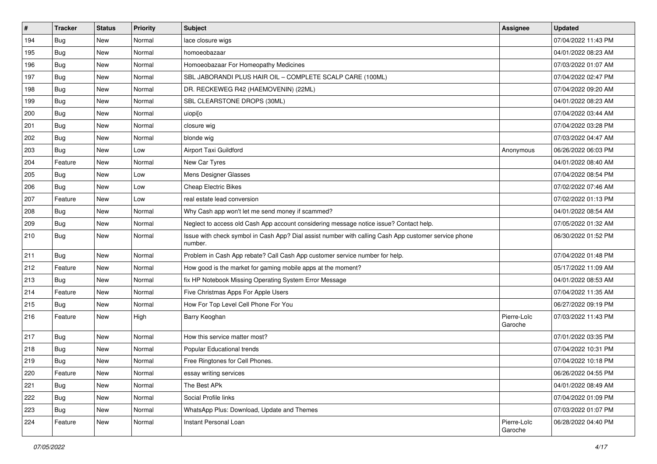| #   | <b>Tracker</b> | <b>Status</b> | <b>Priority</b> | <b>Subject</b>                                                                                                  | <b>Assignee</b>        | <b>Updated</b>      |
|-----|----------------|---------------|-----------------|-----------------------------------------------------------------------------------------------------------------|------------------------|---------------------|
| 194 | <b>Bug</b>     | New           | Normal          | lace closure wigs                                                                                               |                        | 07/04/2022 11:43 PM |
| 195 | Bug            | New           | Normal          | homoeobazaar                                                                                                    |                        | 04/01/2022 08:23 AM |
| 196 | Bug            | New           | Normal          | Homoeobazaar For Homeopathy Medicines                                                                           |                        | 07/03/2022 01:07 AM |
| 197 | <b>Bug</b>     | New           | Normal          | SBL JABORANDI PLUS HAIR OIL - COMPLETE SCALP CARE (100ML)                                                       |                        | 07/04/2022 02:47 PM |
| 198 | <b>Bug</b>     | New           | Normal          | DR. RECKEWEG R42 (HAEMOVENIN) (22ML)                                                                            |                        | 07/04/2022 09:20 AM |
| 199 | <b>Bug</b>     | New           | Normal          | SBL CLEARSTONE DROPS (30ML)                                                                                     |                        | 04/01/2022 08:23 AM |
| 200 | <b>Bug</b>     | New           | Normal          | uiopi[o                                                                                                         |                        | 07/04/2022 03:44 AM |
| 201 | Bug            | New           | Normal          | closure wig                                                                                                     |                        | 07/04/2022 03:28 PM |
| 202 | <b>Bug</b>     | New           | Normal          | blonde wig                                                                                                      |                        | 07/03/2022 04:47 AM |
| 203 | Bug            | New           | Low             | Airport Taxi Guildford                                                                                          | Anonymous              | 06/26/2022 06:03 PM |
| 204 | Feature        | New           | Normal          | New Car Tyres                                                                                                   |                        | 04/01/2022 08:40 AM |
| 205 | <b>Bug</b>     | New           | Low             | Mens Designer Glasses                                                                                           |                        | 07/04/2022 08:54 PM |
| 206 | Bug            | New           | Low             | <b>Cheap Electric Bikes</b>                                                                                     |                        | 07/02/2022 07:46 AM |
| 207 | Feature        | New           | Low             | real estate lead conversion                                                                                     |                        | 07/02/2022 01:13 PM |
| 208 | <b>Bug</b>     | New           | Normal          | Why Cash app won't let me send money if scammed?                                                                |                        | 04/01/2022 08:54 AM |
| 209 | Bug            | New           | Normal          | Neglect to access old Cash App account considering message notice issue? Contact help.                          |                        | 07/05/2022 01:32 AM |
| 210 | <b>Bug</b>     | New           | Normal          | Issue with check symbol in Cash App? Dial assist number with calling Cash App customer service phone<br>number. |                        | 06/30/2022 01:52 PM |
| 211 | Bug            | New           | Normal          | Problem in Cash App rebate? Call Cash App customer service number for help.                                     |                        | 07/04/2022 01:48 PM |
| 212 | Feature        | New           | Normal          | How good is the market for gaming mobile apps at the moment?                                                    |                        | 05/17/2022 11:09 AM |
| 213 | <b>Bug</b>     | New           | Normal          | fix HP Notebook Missing Operating System Error Message                                                          |                        | 04/01/2022 08:53 AM |
| 214 | Feature        | New           | Normal          | Five Christmas Apps For Apple Users                                                                             |                        | 07/04/2022 11:35 AM |
| 215 | <b>Bug</b>     | New           | Normal          | How For Top Level Cell Phone For You                                                                            |                        | 06/27/2022 09:19 PM |
| 216 | Feature        | New           | High            | Barry Keoghan                                                                                                   | Pierre-Loïc<br>Garoche | 07/03/2022 11:43 PM |
| 217 | Bug            | New           | Normal          | How this service matter most?                                                                                   |                        | 07/01/2022 03:35 PM |
| 218 | <b>Bug</b>     | New           | Normal          | Popular Educational trends                                                                                      |                        | 07/04/2022 10:31 PM |
| 219 | Bug            | New           | Normal          | Free Ringtones for Cell Phones.                                                                                 |                        | 07/04/2022 10:18 PM |
| 220 | Feature        | New           | Normal          | essay writing services                                                                                          |                        | 06/26/2022 04:55 PM |
| 221 | Bug            | New           | Normal          | The Best APk                                                                                                    |                        | 04/01/2022 08:49 AM |
| 222 | Bug            | New           | Normal          | Social Profile links                                                                                            |                        | 07/04/2022 01:09 PM |
| 223 | <b>Bug</b>     | New           | Normal          | WhatsApp Plus: Download, Update and Themes                                                                      |                        | 07/03/2022 01:07 PM |
| 224 | Feature        | New           | Normal          | Instant Personal Loan                                                                                           | Pierre-Loïc<br>Garoche | 06/28/2022 04:40 PM |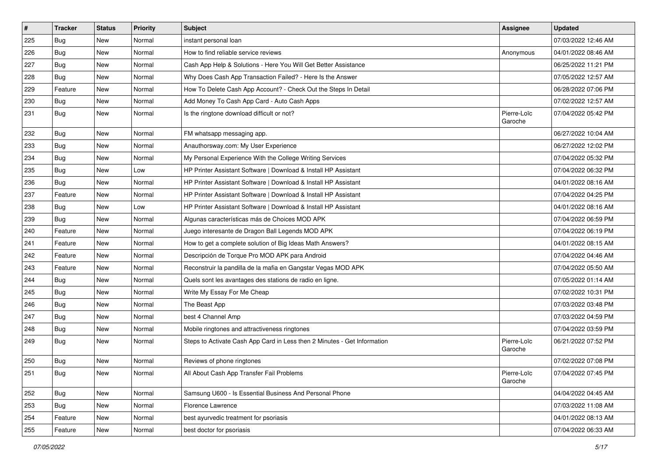| $\sharp$ | <b>Tracker</b> | <b>Status</b> | <b>Priority</b> | <b>Subject</b>                                                           | <b>Assignee</b>        | <b>Updated</b>      |
|----------|----------------|---------------|-----------------|--------------------------------------------------------------------------|------------------------|---------------------|
| 225      | <b>Bug</b>     | New           | Normal          | instant personal loan                                                    |                        | 07/03/2022 12:46 AM |
| 226      | Bug            | <b>New</b>    | Normal          | How to find reliable service reviews                                     | Anonymous              | 04/01/2022 08:46 AM |
| 227      | Bug            | New           | Normal          | Cash App Help & Solutions - Here You Will Get Better Assistance          |                        | 06/25/2022 11:21 PM |
| 228      | <b>Bug</b>     | New           | Normal          | Why Does Cash App Transaction Failed? - Here Is the Answer               |                        | 07/05/2022 12:57 AM |
| 229      | Feature        | New           | Normal          | How To Delete Cash App Account? - Check Out the Steps In Detail          |                        | 06/28/2022 07:06 PM |
| 230      | <b>Bug</b>     | New           | Normal          | Add Money To Cash App Card - Auto Cash Apps                              |                        | 07/02/2022 12:57 AM |
| 231      | <b>Bug</b>     | New           | Normal          | Is the ringtone download difficult or not?                               | Pierre-Loïc<br>Garoche | 07/04/2022 05:42 PM |
| 232      | <b>Bug</b>     | New           | Normal          | FM whatsapp messaging app.                                               |                        | 06/27/2022 10:04 AM |
| 233      | Bug            | New           | Normal          | Anauthorsway.com: My User Experience                                     |                        | 06/27/2022 12:02 PM |
| 234      | <b>Bug</b>     | New           | Normal          | My Personal Experience With the College Writing Services                 |                        | 07/04/2022 05:32 PM |
| 235      | Bug            | New           | Low             | HP Printer Assistant Software   Download & Install HP Assistant          |                        | 07/04/2022 06:32 PM |
| 236      | Bug            | New           | Normal          | HP Printer Assistant Software   Download & Install HP Assistant          |                        | 04/01/2022 08:16 AM |
| 237      | Feature        | New           | Normal          | HP Printer Assistant Software   Download & Install HP Assistant          |                        | 07/04/2022 04:25 PM |
| 238      | Bug            | New           | Low             | HP Printer Assistant Software   Download & Install HP Assistant          |                        | 04/01/2022 08:16 AM |
| 239      | Bug            | New           | Normal          | Algunas características más de Choices MOD APK                           |                        | 07/04/2022 06:59 PM |
| 240      | Feature        | New           | Normal          | Juego interesante de Dragon Ball Legends MOD APK                         |                        | 07/04/2022 06:19 PM |
| 241      | Feature        | New           | Normal          | How to get a complete solution of Big Ideas Math Answers?                |                        | 04/01/2022 08:15 AM |
| 242      | Feature        | New           | Normal          | Descripción de Torque Pro MOD APK para Android                           |                        | 07/04/2022 04:46 AM |
| 243      | Feature        | New           | Normal          | Reconstruir la pandilla de la mafia en Gangstar Vegas MOD APK            |                        | 07/04/2022 05:50 AM |
| 244      | Bug            | New           | Normal          | Quels sont les avantages des stations de radio en ligne.                 |                        | 07/05/2022 01:14 AM |
| 245      | <b>Bug</b>     | New           | Normal          | Write My Essay For Me Cheap                                              |                        | 07/02/2022 10:31 PM |
| 246      | <b>Bug</b>     | New           | Normal          | The Beast App                                                            |                        | 07/03/2022 03:48 PM |
| 247      | <b>Bug</b>     | New           | Normal          | best 4 Channel Amp                                                       |                        | 07/03/2022 04:59 PM |
| 248      | <b>Bug</b>     | New           | Normal          | Mobile ringtones and attractiveness ringtones                            |                        | 07/04/2022 03:59 PM |
| 249      | <b>Bug</b>     | New           | Normal          | Steps to Activate Cash App Card in Less then 2 Minutes - Get Information | Pierre-Loïc<br>Garoche | 06/21/2022 07:52 PM |
| 250      | <b>Bug</b>     | New           | Normal          | Reviews of phone ringtones                                               |                        | 07/02/2022 07:08 PM |
| 251      | Bug            | New           | Normal          | All About Cash App Transfer Fail Problems                                | Pierre-Loïc<br>Garoche | 07/04/2022 07:45 PM |
| 252      | <b>Bug</b>     | New           | Normal          | Samsung U600 - Is Essential Business And Personal Phone                  |                        | 04/04/2022 04:45 AM |
| 253      | Bug            | New           | Normal          | Florence Lawrence                                                        |                        | 07/03/2022 11:08 AM |
| 254      | Feature        | New           | Normal          | best ayurvedic treatment for psoriasis                                   |                        | 04/01/2022 08:13 AM |
| 255      | Feature        | New           | Normal          | best doctor for psoriasis                                                |                        | 07/04/2022 06:33 AM |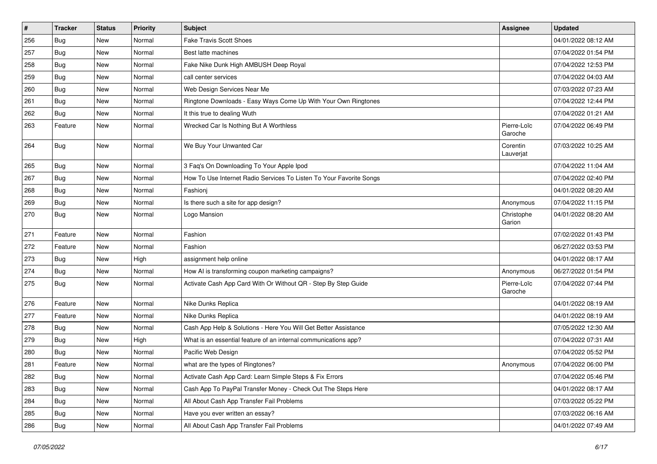| $\#$ | <b>Tracker</b> | <b>Status</b> | <b>Priority</b> | <b>Subject</b>                                                      | Assignee               | <b>Updated</b>      |
|------|----------------|---------------|-----------------|---------------------------------------------------------------------|------------------------|---------------------|
| 256  | <b>Bug</b>     | New           | Normal          | <b>Fake Travis Scott Shoes</b>                                      |                        | 04/01/2022 08:12 AM |
| 257  | <b>Bug</b>     | New           | Normal          | Best latte machines                                                 |                        | 07/04/2022 01:54 PM |
| 258  | Bug            | New           | Normal          | Fake Nike Dunk High AMBUSH Deep Royal                               |                        | 07/04/2022 12:53 PM |
| 259  | <b>Bug</b>     | <b>New</b>    | Normal          | call center services                                                |                        | 07/04/2022 04:03 AM |
| 260  | <b>Bug</b>     | <b>New</b>    | Normal          | Web Design Services Near Me                                         |                        | 07/03/2022 07:23 AM |
| 261  | <b>Bug</b>     | <b>New</b>    | Normal          | Ringtone Downloads - Easy Ways Come Up With Your Own Ringtones      |                        | 07/04/2022 12:44 PM |
| 262  | <b>Bug</b>     | <b>New</b>    | Normal          | It this true to dealing Wuth                                        |                        | 07/04/2022 01:21 AM |
| 263  | Feature        | <b>New</b>    | Normal          | Wrecked Car Is Nothing But A Worthless                              | Pierre-Loïc<br>Garoche | 07/04/2022 06:49 PM |
| 264  | <b>Bug</b>     | New           | Normal          | We Buy Your Unwanted Car                                            | Corentin<br>Lauverjat  | 07/03/2022 10:25 AM |
| 265  | <b>Bug</b>     | New           | Normal          | 3 Faq's On Downloading To Your Apple Ipod                           |                        | 07/04/2022 11:04 AM |
| 267  | Bug            | <b>New</b>    | Normal          | How To Use Internet Radio Services To Listen To Your Favorite Songs |                        | 07/04/2022 02:40 PM |
| 268  | <b>Bug</b>     | <b>New</b>    | Normal          | Fashionj                                                            |                        | 04/01/2022 08:20 AM |
| 269  | <b>Bug</b>     | <b>New</b>    | Normal          | Is there such a site for app design?                                | Anonymous              | 07/04/2022 11:15 PM |
| 270  | <b>Bug</b>     | New           | Normal          | Logo Mansion                                                        | Christophe<br>Garion   | 04/01/2022 08:20 AM |
| 271  | Feature        | <b>New</b>    | Normal          | Fashion                                                             |                        | 07/02/2022 01:43 PM |
| 272  | Feature        | <b>New</b>    | Normal          | Fashion                                                             |                        | 06/27/2022 03:53 PM |
| 273  | <b>Bug</b>     | <b>New</b>    | High            | assignment help online                                              |                        | 04/01/2022 08:17 AM |
| 274  | <b>Bug</b>     | <b>New</b>    | Normal          | How AI is transforming coupon marketing campaigns?                  | Anonymous              | 06/27/2022 01:54 PM |
| 275  | <b>Bug</b>     | <b>New</b>    | Normal          | Activate Cash App Card With Or Without QR - Step By Step Guide      | Pierre-Loïc<br>Garoche | 07/04/2022 07:44 PM |
| 276  | Feature        | New           | Normal          | Nike Dunks Replica                                                  |                        | 04/01/2022 08:19 AM |
| 277  | Feature        | <b>New</b>    | Normal          | Nike Dunks Replica                                                  |                        | 04/01/2022 08:19 AM |
| 278  | Bug            | New           | Normal          | Cash App Help & Solutions - Here You Will Get Better Assistance     |                        | 07/05/2022 12:30 AM |
| 279  | <b>Bug</b>     | <b>New</b>    | High            | What is an essential feature of an internal communications app?     |                        | 07/04/2022 07:31 AM |
| 280  | <b>Bug</b>     | <b>New</b>    | Normal          | Pacific Web Design                                                  |                        | 07/04/2022 05:52 PM |
| 281  | Feature        | New           | Normal          | what are the types of Ringtones?                                    | Anonymous              | 07/04/2022 06:00 PM |
| 282  | <b>Bug</b>     | New           | Normal          | Activate Cash App Card: Learn Simple Steps & Fix Errors             |                        | 07/04/2022 05:46 PM |
| 283  | <b>Bug</b>     | New           | Normal          | Cash App To PayPal Transfer Money - Check Out The Steps Here        |                        | 04/01/2022 08:17 AM |
| 284  | Bug            | New           | Normal          | All About Cash App Transfer Fail Problems                           |                        | 07/03/2022 05:22 PM |
| 285  | <b>Bug</b>     | New           | Normal          | Have you ever written an essay?                                     |                        | 07/03/2022 06:16 AM |
| 286  | Bug            | New           | Normal          | All About Cash App Transfer Fail Problems                           |                        | 04/01/2022 07:49 AM |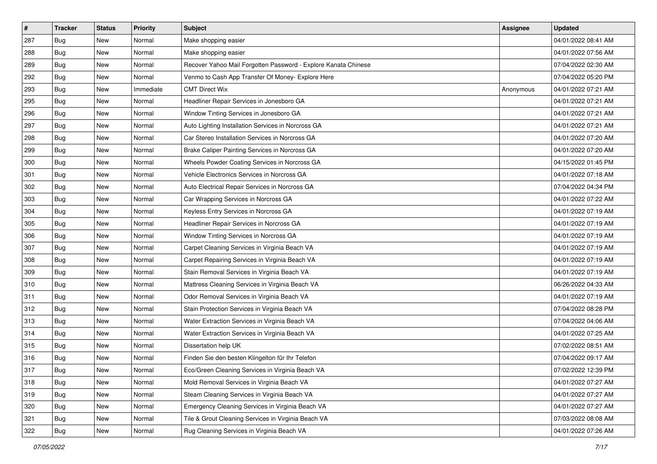| #   | <b>Tracker</b> | <b>Status</b> | <b>Priority</b> | <b>Subject</b>                                                 | <b>Assignee</b> | <b>Updated</b>      |
|-----|----------------|---------------|-----------------|----------------------------------------------------------------|-----------------|---------------------|
| 287 | <b>Bug</b>     | New           | Normal          | Make shopping easier                                           |                 | 04/01/2022 08:41 AM |
| 288 | <b>Bug</b>     | New           | Normal          | Make shopping easier                                           |                 | 04/01/2022 07:56 AM |
| 289 | Bug            | New           | Normal          | Recover Yahoo Mail Forgotten Password - Explore Kanata Chinese |                 | 07/04/2022 02:30 AM |
| 292 | <b>Bug</b>     | New           | Normal          | Venmo to Cash App Transfer Of Money- Explore Here              |                 | 07/04/2022 05:20 PM |
| 293 | Bug            | New           | Immediate       | <b>CMT Direct Wix</b>                                          | Anonymous       | 04/01/2022 07:21 AM |
| 295 | <b>Bug</b>     | New           | Normal          | Headliner Repair Services in Jonesboro GA                      |                 | 04/01/2022 07:21 AM |
| 296 | <b>Bug</b>     | New           | Normal          | Window Tinting Services in Jonesboro GA                        |                 | 04/01/2022 07:21 AM |
| 297 | Bug            | New           | Normal          | Auto Lighting Installation Services in Norcross GA             |                 | 04/01/2022 07:21 AM |
| 298 | <b>Bug</b>     | New           | Normal          | Car Stereo Installation Services in Norcross GA                |                 | 04/01/2022 07:20 AM |
| 299 | <b>Bug</b>     | New           | Normal          | Brake Caliper Painting Services in Norcross GA                 |                 | 04/01/2022 07:20 AM |
| 300 | Bug            | New           | Normal          | Wheels Powder Coating Services in Norcross GA                  |                 | 04/15/2022 01:45 PM |
| 301 | <b>Bug</b>     | New           | Normal          | Vehicle Electronics Services in Norcross GA                    |                 | 04/01/2022 07:18 AM |
| 302 | Bug            | <b>New</b>    | Normal          | Auto Electrical Repair Services in Norcross GA                 |                 | 07/04/2022 04:34 PM |
| 303 | <b>Bug</b>     | New           | Normal          | Car Wrapping Services in Norcross GA                           |                 | 04/01/2022 07:22 AM |
| 304 | <b>Bug</b>     | <b>New</b>    | Normal          | Keyless Entry Services in Norcross GA                          |                 | 04/01/2022 07:19 AM |
| 305 | <b>Bug</b>     | New           | Normal          | Headliner Repair Services in Norcross GA                       |                 | 04/01/2022 07:19 AM |
| 306 | <b>Bug</b>     | New           | Normal          | Window Tinting Services in Norcross GA                         |                 | 04/01/2022 07:19 AM |
| 307 | Bug            | New           | Normal          | Carpet Cleaning Services in Virginia Beach VA                  |                 | 04/01/2022 07:19 AM |
| 308 | <b>Bug</b>     | New           | Normal          | Carpet Repairing Services in Virginia Beach VA                 |                 | 04/01/2022 07:19 AM |
| 309 | <b>Bug</b>     | New           | Normal          | Stain Removal Services in Virginia Beach VA                    |                 | 04/01/2022 07:19 AM |
| 310 | <b>Bug</b>     | New           | Normal          | Mattress Cleaning Services in Virginia Beach VA                |                 | 06/26/2022 04:33 AM |
| 311 | <b>Bug</b>     | New           | Normal          | Odor Removal Services in Virginia Beach VA                     |                 | 04/01/2022 07:19 AM |
| 312 | Bug            | New           | Normal          | Stain Protection Services in Virginia Beach VA                 |                 | 07/04/2022 08:28 PM |
| 313 | <b>Bug</b>     | New           | Normal          | Water Extraction Services in Virginia Beach VA                 |                 | 07/04/2022 04:06 AM |
| 314 | <b>Bug</b>     | New           | Normal          | Water Extraction Services in Virginia Beach VA                 |                 | 04/01/2022 07:25 AM |
| 315 | <b>Bug</b>     | <b>New</b>    | Normal          | Dissertation help UK                                           |                 | 07/02/2022 08:51 AM |
| 316 | <b>Bug</b>     | New           | Normal          | Finden Sie den besten Klingelton für Ihr Telefon               |                 | 07/04/2022 09:17 AM |
| 317 | Bug            | New           | Normal          | Eco/Green Cleaning Services in Virginia Beach VA               |                 | 07/02/2022 12:39 PM |
| 318 | Bug            | New           | Normal          | Mold Removal Services in Virginia Beach VA                     |                 | 04/01/2022 07:27 AM |
| 319 | Bug            | New           | Normal          | Steam Cleaning Services in Virginia Beach VA                   |                 | 04/01/2022 07:27 AM |
| 320 | Bug            | New           | Normal          | Emergency Cleaning Services in Virginia Beach VA               |                 | 04/01/2022 07:27 AM |
| 321 | <b>Bug</b>     | New           | Normal          | Tile & Grout Cleaning Services in Virginia Beach VA            |                 | 07/03/2022 08:08 AM |
| 322 | <b>Bug</b>     | New           | Normal          | Rug Cleaning Services in Virginia Beach VA                     |                 | 04/01/2022 07:26 AM |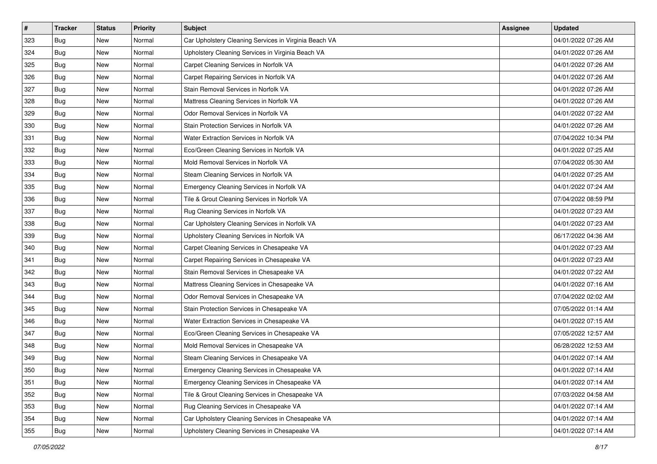| $\vert$ # | <b>Tracker</b> | <b>Status</b> | <b>Priority</b> | <b>Subject</b>                                        | <b>Assignee</b> | <b>Updated</b>      |
|-----------|----------------|---------------|-----------------|-------------------------------------------------------|-----------------|---------------------|
| 323       | <b>Bug</b>     | New           | Normal          | Car Upholstery Cleaning Services in Virginia Beach VA |                 | 04/01/2022 07:26 AM |
| 324       | <b>Bug</b>     | New           | Normal          | Upholstery Cleaning Services in Virginia Beach VA     |                 | 04/01/2022 07:26 AM |
| 325       | <b>Bug</b>     | New           | Normal          | Carpet Cleaning Services in Norfolk VA                |                 | 04/01/2022 07:26 AM |
| 326       | <b>Bug</b>     | New           | Normal          | Carpet Repairing Services in Norfolk VA               |                 | 04/01/2022 07:26 AM |
| 327       | <b>Bug</b>     | <b>New</b>    | Normal          | Stain Removal Services in Norfolk VA                  |                 | 04/01/2022 07:26 AM |
| 328       | <b>Bug</b>     | <b>New</b>    | Normal          | Mattress Cleaning Services in Norfolk VA              |                 | 04/01/2022 07:26 AM |
| 329       | <b>Bug</b>     | New           | Normal          | Odor Removal Services in Norfolk VA                   |                 | 04/01/2022 07:22 AM |
| 330       | <b>Bug</b>     | New           | Normal          | Stain Protection Services in Norfolk VA               |                 | 04/01/2022 07:26 AM |
| 331       | <b>Bug</b>     | New           | Normal          | Water Extraction Services in Norfolk VA               |                 | 07/04/2022 10:34 PM |
| 332       | <b>Bug</b>     | New           | Normal          | Eco/Green Cleaning Services in Norfolk VA             |                 | 04/01/2022 07:25 AM |
| 333       | <b>Bug</b>     | New           | Normal          | Mold Removal Services in Norfolk VA                   |                 | 07/04/2022 05:30 AM |
| 334       | <b>Bug</b>     | New           | Normal          | Steam Cleaning Services in Norfolk VA                 |                 | 04/01/2022 07:25 AM |
| 335       | <b>Bug</b>     | New           | Normal          | Emergency Cleaning Services in Norfolk VA             |                 | 04/01/2022 07:24 AM |
| 336       | <b>Bug</b>     | New           | Normal          | Tile & Grout Cleaning Services in Norfolk VA          |                 | 07/04/2022 08:59 PM |
| 337       | <b>Bug</b>     | <b>New</b>    | Normal          | Rug Cleaning Services in Norfolk VA                   |                 | 04/01/2022 07:23 AM |
| 338       | Bug            | New           | Normal          | Car Upholstery Cleaning Services in Norfolk VA        |                 | 04/01/2022 07:23 AM |
| 339       | <b>Bug</b>     | New           | Normal          | Upholstery Cleaning Services in Norfolk VA            |                 | 06/17/2022 04:36 AM |
| 340       | <b>Bug</b>     | <b>New</b>    | Normal          | Carpet Cleaning Services in Chesapeake VA             |                 | 04/01/2022 07:23 AM |
| 341       | <b>Bug</b>     | New           | Normal          | Carpet Repairing Services in Chesapeake VA            |                 | 04/01/2022 07:23 AM |
| 342       | <b>Bug</b>     | New           | Normal          | Stain Removal Services in Chesapeake VA               |                 | 04/01/2022 07:22 AM |
| 343       | <b>Bug</b>     | New           | Normal          | Mattress Cleaning Services in Chesapeake VA           |                 | 04/01/2022 07:16 AM |
| 344       | <b>Bug</b>     | New           | Normal          | Odor Removal Services in Chesapeake VA                |                 | 07/04/2022 02:02 AM |
| 345       | Bug            | <b>New</b>    | Normal          | Stain Protection Services in Chesapeake VA            |                 | 07/05/2022 01:14 AM |
| 346       | <b>Bug</b>     | New           | Normal          | Water Extraction Services in Chesapeake VA            |                 | 04/01/2022 07:15 AM |
| 347       | <b>Bug</b>     | New           | Normal          | Eco/Green Cleaning Services in Chesapeake VA          |                 | 07/05/2022 12:57 AM |
| 348       | <b>Bug</b>     | <b>New</b>    | Normal          | Mold Removal Services in Chesapeake VA                |                 | 06/28/2022 12:53 AM |
| 349       | <b>Bug</b>     | New           | Normal          | Steam Cleaning Services in Chesapeake VA              |                 | 04/01/2022 07:14 AM |
| 350       | Bug            | New           | Normal          | Emergency Cleaning Services in Chesapeake VA          |                 | 04/01/2022 07:14 AM |
| 351       | Bug            | New           | Normal          | Emergency Cleaning Services in Chesapeake VA          |                 | 04/01/2022 07:14 AM |
| 352       | Bug            | New           | Normal          | Tile & Grout Cleaning Services in Chesapeake VA       |                 | 07/03/2022 04:58 AM |
| 353       | <b>Bug</b>     | New           | Normal          | Rug Cleaning Services in Chesapeake VA                |                 | 04/01/2022 07:14 AM |
| 354       | <b>Bug</b>     | New           | Normal          | Car Upholstery Cleaning Services in Chesapeake VA     |                 | 04/01/2022 07:14 AM |
| 355       | <b>Bug</b>     | New           | Normal          | Upholstery Cleaning Services in Chesapeake VA         |                 | 04/01/2022 07:14 AM |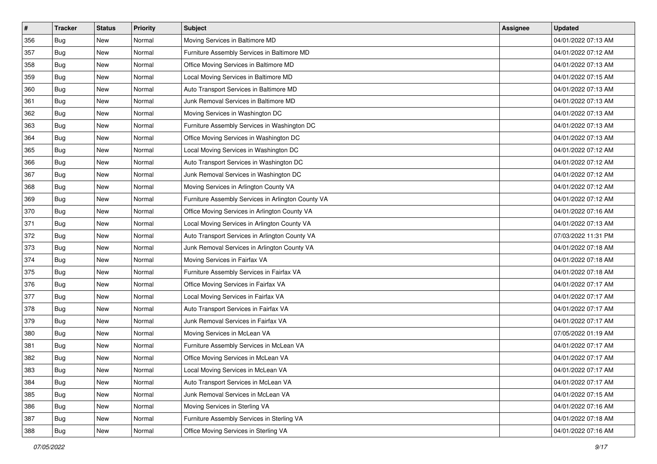| $\sharp$ | <b>Tracker</b> | <b>Status</b> | <b>Priority</b> | <b>Subject</b>                                     | Assignee | <b>Updated</b>      |
|----------|----------------|---------------|-----------------|----------------------------------------------------|----------|---------------------|
| 356      | <b>Bug</b>     | New           | Normal          | Moving Services in Baltimore MD                    |          | 04/01/2022 07:13 AM |
| 357      | <b>Bug</b>     | New           | Normal          | Furniture Assembly Services in Baltimore MD        |          | 04/01/2022 07:12 AM |
| 358      | <b>Bug</b>     | New           | Normal          | Office Moving Services in Baltimore MD             |          | 04/01/2022 07:13 AM |
| 359      | <b>Bug</b>     | New           | Normal          | Local Moving Services in Baltimore MD              |          | 04/01/2022 07:15 AM |
| 360      | <b>Bug</b>     | New           | Normal          | Auto Transport Services in Baltimore MD            |          | 04/01/2022 07:13 AM |
| 361      | <b>Bug</b>     | New           | Normal          | Junk Removal Services in Baltimore MD              |          | 04/01/2022 07:13 AM |
| 362      | <b>Bug</b>     | New           | Normal          | Moving Services in Washington DC                   |          | 04/01/2022 07:13 AM |
| 363      | <b>Bug</b>     | New           | Normal          | Furniture Assembly Services in Washington DC       |          | 04/01/2022 07:13 AM |
| 364      | <b>Bug</b>     | New           | Normal          | Office Moving Services in Washington DC            |          | 04/01/2022 07:13 AM |
| 365      | <b>Bug</b>     | New           | Normal          | Local Moving Services in Washington DC             |          | 04/01/2022 07:12 AM |
| 366      | <b>Bug</b>     | New           | Normal          | Auto Transport Services in Washington DC           |          | 04/01/2022 07:12 AM |
| 367      | <b>Bug</b>     | New           | Normal          | Junk Removal Services in Washington DC             |          | 04/01/2022 07:12 AM |
| 368      | <b>Bug</b>     | New           | Normal          | Moving Services in Arlington County VA             |          | 04/01/2022 07:12 AM |
| 369      | <b>Bug</b>     | New           | Normal          | Furniture Assembly Services in Arlington County VA |          | 04/01/2022 07:12 AM |
| 370      | <b>Bug</b>     | <b>New</b>    | Normal          | Office Moving Services in Arlington County VA      |          | 04/01/2022 07:16 AM |
| 371      | Bug            | New           | Normal          | Local Moving Services in Arlington County VA       |          | 04/01/2022 07:13 AM |
| 372      | <b>Bug</b>     | New           | Normal          | Auto Transport Services in Arlington County VA     |          | 07/03/2022 11:31 PM |
| 373      | <b>Bug</b>     | New           | Normal          | Junk Removal Services in Arlington County VA       |          | 04/01/2022 07:18 AM |
| 374      | <b>Bug</b>     | New           | Normal          | Moving Services in Fairfax VA                      |          | 04/01/2022 07:18 AM |
| 375      | <b>Bug</b>     | New           | Normal          | Furniture Assembly Services in Fairfax VA          |          | 04/01/2022 07:18 AM |
| 376      | Bug            | New           | Normal          | Office Moving Services in Fairfax VA               |          | 04/01/2022 07:17 AM |
| 377      | <b>Bug</b>     | New           | Normal          | Local Moving Services in Fairfax VA                |          | 04/01/2022 07:17 AM |
| 378      | <b>Bug</b>     | New           | Normal          | Auto Transport Services in Fairfax VA              |          | 04/01/2022 07:17 AM |
| 379      | i Bug          | New           | Normal          | Junk Removal Services in Fairfax VA                |          | 04/01/2022 07:17 AM |
| 380      | Bug            | New           | Normal          | Moving Services in McLean VA                       |          | 07/05/2022 01:19 AM |
| 381      | <b>Bug</b>     | New           | Normal          | Furniture Assembly Services in McLean VA           |          | 04/01/2022 07:17 AM |
| 382      | <b>Bug</b>     | New           | Normal          | Office Moving Services in McLean VA                |          | 04/01/2022 07:17 AM |
| 383      | <b>Bug</b>     | New           | Normal          | Local Moving Services in McLean VA                 |          | 04/01/2022 07:17 AM |
| 384      | <b>Bug</b>     | New           | Normal          | Auto Transport Services in McLean VA               |          | 04/01/2022 07:17 AM |
| 385      | Bug            | New           | Normal          | Junk Removal Services in McLean VA                 |          | 04/01/2022 07:15 AM |
| 386      | <b>Bug</b>     | New           | Normal          | Moving Services in Sterling VA                     |          | 04/01/2022 07:16 AM |
| 387      | <b>Bug</b>     | New           | Normal          | Furniture Assembly Services in Sterling VA         |          | 04/01/2022 07:18 AM |
| 388      | <b>Bug</b>     | New           | Normal          | Office Moving Services in Sterling VA              |          | 04/01/2022 07:16 AM |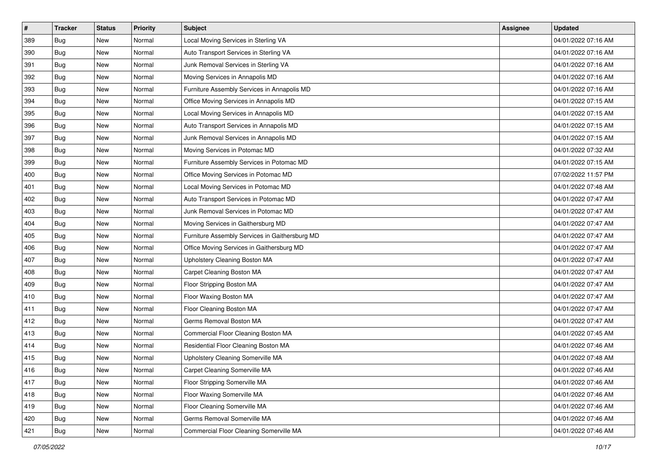| $\vert$ # | <b>Tracker</b> | <b>Status</b> | <b>Priority</b> | <b>Subject</b>                                 | <b>Assignee</b> | <b>Updated</b>      |
|-----------|----------------|---------------|-----------------|------------------------------------------------|-----------------|---------------------|
| 389       | <b>Bug</b>     | New           | Normal          | Local Moving Services in Sterling VA           |                 | 04/01/2022 07:16 AM |
| 390       | <b>Bug</b>     | New           | Normal          | Auto Transport Services in Sterling VA         |                 | 04/01/2022 07:16 AM |
| 391       | <b>Bug</b>     | New           | Normal          | Junk Removal Services in Sterling VA           |                 | 04/01/2022 07:16 AM |
| 392       | <b>Bug</b>     | New           | Normal          | Moving Services in Annapolis MD                |                 | 04/01/2022 07:16 AM |
| 393       | <b>Bug</b>     | New           | Normal          | Furniture Assembly Services in Annapolis MD    |                 | 04/01/2022 07:16 AM |
| 394       | <b>Bug</b>     | New           | Normal          | Office Moving Services in Annapolis MD         |                 | 04/01/2022 07:15 AM |
| 395       | <b>Bug</b>     | New           | Normal          | Local Moving Services in Annapolis MD          |                 | 04/01/2022 07:15 AM |
| 396       | <b>Bug</b>     | New           | Normal          | Auto Transport Services in Annapolis MD        |                 | 04/01/2022 07:15 AM |
| 397       | <b>Bug</b>     | New           | Normal          | Junk Removal Services in Annapolis MD          |                 | 04/01/2022 07:15 AM |
| 398       | Bug            | New           | Normal          | Moving Services in Potomac MD                  |                 | 04/01/2022 07:32 AM |
| 399       | <b>Bug</b>     | New           | Normal          | Furniture Assembly Services in Potomac MD      |                 | 04/01/2022 07:15 AM |
| 400       | <b>Bug</b>     | New           | Normal          | Office Moving Services in Potomac MD           |                 | 07/02/2022 11:57 PM |
| 401       | <b>Bug</b>     | New           | Normal          | Local Moving Services in Potomac MD            |                 | 04/01/2022 07:48 AM |
| 402       | <b>Bug</b>     | New           | Normal          | Auto Transport Services in Potomac MD          |                 | 04/01/2022 07:47 AM |
| 403       | <b>Bug</b>     | New           | Normal          | Junk Removal Services in Potomac MD            |                 | 04/01/2022 07:47 AM |
| 404       | Bug            | New           | Normal          | Moving Services in Gaithersburg MD             |                 | 04/01/2022 07:47 AM |
| 405       | <b>Bug</b>     | New           | Normal          | Furniture Assembly Services in Gaithersburg MD |                 | 04/01/2022 07:47 AM |
| 406       | <b>Bug</b>     | <b>New</b>    | Normal          | Office Moving Services in Gaithersburg MD      |                 | 04/01/2022 07:47 AM |
| 407       | <b>Bug</b>     | New           | Normal          | Upholstery Cleaning Boston MA                  |                 | 04/01/2022 07:47 AM |
| 408       | <b>Bug</b>     | New           | Normal          | Carpet Cleaning Boston MA                      |                 | 04/01/2022 07:47 AM |
| 409       | <b>Bug</b>     | New           | Normal          | Floor Stripping Boston MA                      |                 | 04/01/2022 07:47 AM |
| 410       | <b>Bug</b>     | New           | Normal          | Floor Waxing Boston MA                         |                 | 04/01/2022 07:47 AM |
| 411       | <b>Bug</b>     | <b>New</b>    | Normal          | Floor Cleaning Boston MA                       |                 | 04/01/2022 07:47 AM |
| 412       | <b>Bug</b>     | New           | Normal          | Germs Removal Boston MA                        |                 | 04/01/2022 07:47 AM |
| 413       | <b>Bug</b>     | New           | Normal          | Commercial Floor Cleaning Boston MA            |                 | 04/01/2022 07:45 AM |
| 414       | <b>Bug</b>     | New           | Normal          | Residential Floor Cleaning Boston MA           |                 | 04/01/2022 07:46 AM |
| 415       | <b>Bug</b>     | New           | Normal          | Upholstery Cleaning Somerville MA              |                 | 04/01/2022 07:48 AM |
| 416       | Bug            | New           | Normal          | Carpet Cleaning Somerville MA                  |                 | 04/01/2022 07:46 AM |
| 417       | <b>Bug</b>     | New           | Normal          | Floor Stripping Somerville MA                  |                 | 04/01/2022 07:46 AM |
| 418       | <b>Bug</b>     | New           | Normal          | Floor Waxing Somerville MA                     |                 | 04/01/2022 07:46 AM |
| 419       | <b>Bug</b>     | New           | Normal          | Floor Cleaning Somerville MA                   |                 | 04/01/2022 07:46 AM |
| 420       | <b>Bug</b>     | New           | Normal          | Germs Removal Somerville MA                    |                 | 04/01/2022 07:46 AM |
| 421       | <b>Bug</b>     | New           | Normal          | Commercial Floor Cleaning Somerville MA        |                 | 04/01/2022 07:46 AM |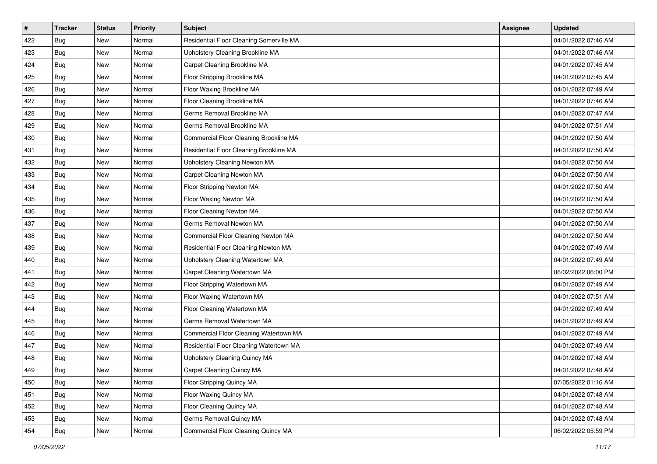| #   | <b>Tracker</b> | <b>Status</b> | <b>Priority</b> | <b>Subject</b>                           | <b>Assignee</b> | <b>Updated</b>      |
|-----|----------------|---------------|-----------------|------------------------------------------|-----------------|---------------------|
| 422 | Bug            | New           | Normal          | Residential Floor Cleaning Somerville MA |                 | 04/01/2022 07:46 AM |
| 423 | <b>Bug</b>     | <b>New</b>    | Normal          | Upholstery Cleaning Brookline MA         |                 | 04/01/2022 07:46 AM |
| 424 | <b>Bug</b>     | New           | Normal          | Carpet Cleaning Brookline MA             |                 | 04/01/2022 07:45 AM |
| 425 | Bug            | New           | Normal          | Floor Stripping Brookline MA             |                 | 04/01/2022 07:45 AM |
| 426 | <b>Bug</b>     | <b>New</b>    | Normal          | Floor Waxing Brookline MA                |                 | 04/01/2022 07:49 AM |
| 427 | <b>Bug</b>     | New           | Normal          | Floor Cleaning Brookline MA              |                 | 04/01/2022 07:46 AM |
| 428 | <b>Bug</b>     | New           | Normal          | Germs Removal Brookline MA               |                 | 04/01/2022 07:47 AM |
| 429 | <b>Bug</b>     | New           | Normal          | Germs Removal Brookline MA               |                 | 04/01/2022 07:51 AM |
| 430 | <b>Bug</b>     | New           | Normal          | Commercial Floor Cleaning Brookline MA   |                 | 04/01/2022 07:50 AM |
| 431 | Bug            | New           | Normal          | Residential Floor Cleaning Brookline MA  |                 | 04/01/2022 07:50 AM |
| 432 | <b>Bug</b>     | New           | Normal          | Upholstery Cleaning Newton MA            |                 | 04/01/2022 07:50 AM |
| 433 | <b>Bug</b>     | New           | Normal          | Carpet Cleaning Newton MA                |                 | 04/01/2022 07:50 AM |
| 434 | <b>Bug</b>     | New           | Normal          | Floor Stripping Newton MA                |                 | 04/01/2022 07:50 AM |
| 435 | <b>Bug</b>     | New           | Normal          | Floor Waxing Newton MA                   |                 | 04/01/2022 07:50 AM |
| 436 | <b>Bug</b>     | New           | Normal          | Floor Cleaning Newton MA                 |                 | 04/01/2022 07:50 AM |
| 437 | <b>Bug</b>     | New           | Normal          | Germs Removal Newton MA                  |                 | 04/01/2022 07:50 AM |
| 438 | <b>Bug</b>     | New           | Normal          | Commercial Floor Cleaning Newton MA      |                 | 04/01/2022 07:50 AM |
| 439 | <b>Bug</b>     | New           | Normal          | Residential Floor Cleaning Newton MA     |                 | 04/01/2022 07:49 AM |
| 440 | <b>Bug</b>     | New           | Normal          | Upholstery Cleaning Watertown MA         |                 | 04/01/2022 07:49 AM |
| 441 | <b>Bug</b>     | <b>New</b>    | Normal          | Carpet Cleaning Watertown MA             |                 | 06/02/2022 06:00 PM |
| 442 | <b>Bug</b>     | New           | Normal          | Floor Stripping Watertown MA             |                 | 04/01/2022 07:49 AM |
| 443 | <b>Bug</b>     | New           | Normal          | Floor Waxing Watertown MA                |                 | 04/01/2022 07:51 AM |
| 444 | Bug            | New           | Normal          | Floor Cleaning Watertown MA              |                 | 04/01/2022 07:49 AM |
| 445 | Bug            | New           | Normal          | Germs Removal Watertown MA               |                 | 04/01/2022 07:49 AM |
| 446 | <b>Bug</b>     | New           | Normal          | Commercial Floor Cleaning Watertown MA   |                 | 04/01/2022 07:49 AM |
| 447 | <b>Bug</b>     | New           | Normal          | Residential Floor Cleaning Watertown MA  |                 | 04/01/2022 07:49 AM |
| 448 | <b>Bug</b>     | New           | Normal          | Upholstery Cleaning Quincy MA            |                 | 04/01/2022 07:48 AM |
| 449 | <b>Bug</b>     | New           | Normal          | Carpet Cleaning Quincy MA                |                 | 04/01/2022 07:48 AM |
| 450 | <b>Bug</b>     | New           | Normal          | Floor Stripping Quincy MA                |                 | 07/05/2022 01:16 AM |
| 451 | <b>Bug</b>     | New           | Normal          | Floor Waxing Quincy MA                   |                 | 04/01/2022 07:48 AM |
| 452 | <b>Bug</b>     | New           | Normal          | Floor Cleaning Quincy MA                 |                 | 04/01/2022 07:48 AM |
| 453 | <b>Bug</b>     | New           | Normal          | Germs Removal Quincy MA                  |                 | 04/01/2022 07:48 AM |
| 454 | <b>Bug</b>     | New           | Normal          | Commercial Floor Cleaning Quincy MA      |                 | 06/02/2022 05:59 PM |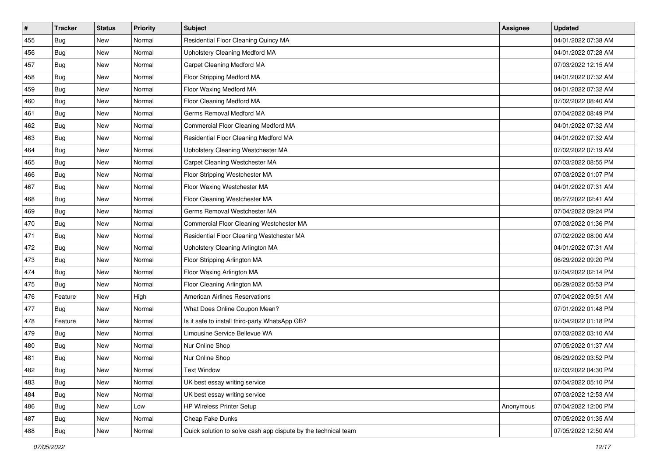| $\vert$ # | <b>Tracker</b> | <b>Status</b> | <b>Priority</b> | <b>Subject</b>                                                 | <b>Assignee</b> | <b>Updated</b>      |
|-----------|----------------|---------------|-----------------|----------------------------------------------------------------|-----------------|---------------------|
| 455       | Bug            | New           | Normal          | Residential Floor Cleaning Quincy MA                           |                 | 04/01/2022 07:38 AM |
| 456       | <b>Bug</b>     | <b>New</b>    | Normal          | Upholstery Cleaning Medford MA                                 |                 | 04/01/2022 07:28 AM |
| 457       | <b>Bug</b>     | New           | Normal          | Carpet Cleaning Medford MA                                     |                 | 07/03/2022 12:15 AM |
| 458       | <b>Bug</b>     | New           | Normal          | Floor Stripping Medford MA                                     |                 | 04/01/2022 07:32 AM |
| 459       | <b>Bug</b>     | <b>New</b>    | Normal          | Floor Waxing Medford MA                                        |                 | 04/01/2022 07:32 AM |
| 460       | <b>Bug</b>     | New           | Normal          | Floor Cleaning Medford MA                                      |                 | 07/02/2022 08:40 AM |
| 461       | <b>Bug</b>     | New           | Normal          | Germs Removal Medford MA                                       |                 | 07/04/2022 08:49 PM |
| 462       | <b>Bug</b>     | New           | Normal          | Commercial Floor Cleaning Medford MA                           |                 | 04/01/2022 07:32 AM |
| 463       | <b>Bug</b>     | New           | Normal          | Residential Floor Cleaning Medford MA                          |                 | 04/01/2022 07:32 AM |
| 464       | Bug            | <b>New</b>    | Normal          | Upholstery Cleaning Westchester MA                             |                 | 07/02/2022 07:19 AM |
| 465       | <b>Bug</b>     | New           | Normal          | Carpet Cleaning Westchester MA                                 |                 | 07/03/2022 08:55 PM |
| 466       | <b>Bug</b>     | New           | Normal          | Floor Stripping Westchester MA                                 |                 | 07/03/2022 01:07 PM |
| 467       | <b>Bug</b>     | New           | Normal          | Floor Waxing Westchester MA                                    |                 | 04/01/2022 07:31 AM |
| 468       | <b>Bug</b>     | New           | Normal          | Floor Cleaning Westchester MA                                  |                 | 06/27/2022 02:41 AM |
| 469       | Bug            | New           | Normal          | Germs Removal Westchester MA                                   |                 | 07/04/2022 09:24 PM |
| 470       | <b>Bug</b>     | New           | Normal          | Commercial Floor Cleaning Westchester MA                       |                 | 07/03/2022 01:36 PM |
| 471       | <b>Bug</b>     | New           | Normal          | Residential Floor Cleaning Westchester MA                      |                 | 07/02/2022 08:00 AM |
| 472       | <b>Bug</b>     | <b>New</b>    | Normal          | Upholstery Cleaning Arlington MA                               |                 | 04/01/2022 07:31 AM |
| 473       | <b>Bug</b>     | New           | Normal          | Floor Stripping Arlington MA                                   |                 | 06/29/2022 09:20 PM |
| 474       | <b>Bug</b>     | <b>New</b>    | Normal          | Floor Waxing Arlington MA                                      |                 | 07/04/2022 02:14 PM |
| 475       | Bug            | New           | Normal          | Floor Cleaning Arlington MA                                    |                 | 06/29/2022 05:53 PM |
| 476       | Feature        | New           | High            | <b>American Airlines Reservations</b>                          |                 | 07/04/2022 09:51 AM |
| 477       | <b>Bug</b>     | <b>New</b>    | Normal          | What Does Online Coupon Mean?                                  |                 | 07/01/2022 01:48 PM |
| 478       | Feature        | New           | Normal          | Is it safe to install third-party WhatsApp GB?                 |                 | 07/04/2022 01:18 PM |
| 479       | <b>Bug</b>     | New           | Normal          | Limousine Service Bellevue WA                                  |                 | 07/03/2022 03:10 AM |
| 480       | <b>Bug</b>     | New           | Normal          | Nur Online Shop                                                |                 | 07/05/2022 01:37 AM |
| 481       | <b>Bug</b>     | <b>New</b>    | Normal          | Nur Online Shop                                                |                 | 06/29/2022 03:52 PM |
| 482       | <b>Bug</b>     | New           | Normal          | <b>Text Window</b>                                             |                 | 07/03/2022 04:30 PM |
| 483       | <b>Bug</b>     | New           | Normal          | UK best essay writing service                                  |                 | 07/04/2022 05:10 PM |
| 484       | <b>Bug</b>     | New           | Normal          | UK best essay writing service                                  |                 | 07/03/2022 12:53 AM |
| 486       | Bug            | New           | Low             | HP Wireless Printer Setup                                      | Anonymous       | 07/04/2022 12:00 PM |
| 487       | <b>Bug</b>     | New           | Normal          | Cheap Fake Dunks                                               |                 | 07/05/2022 01:35 AM |
| 488       | i Bug          | New           | Normal          | Quick solution to solve cash app dispute by the technical team |                 | 07/05/2022 12:50 AM |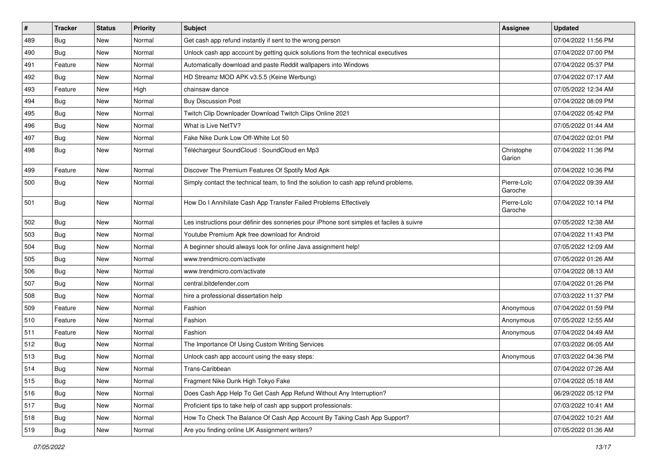| $\pmb{\#}$ | <b>Tracker</b> | <b>Status</b> | <b>Priority</b> | <b>Subject</b>                                                                           | Assignee               | <b>Updated</b>      |
|------------|----------------|---------------|-----------------|------------------------------------------------------------------------------------------|------------------------|---------------------|
| 489        | Bug            | New           | Normal          | Get cash app refund instantly if sent to the wrong person                                |                        | 07/04/2022 11:56 PM |
| 490        | <b>Bug</b>     | New           | Normal          | Unlock cash app account by getting quick solutions from the technical executives         |                        | 07/04/2022 07:00 PM |
| 491        | Feature        | New           | Normal          | Automatically download and paste Reddit wallpapers into Windows                          |                        | 07/04/2022 05:37 PM |
| 492        | <b>Bug</b>     | New           | Normal          | HD Streamz MOD APK v3.5.5 (Keine Werbung)                                                |                        | 07/04/2022 07:17 AM |
| 493        | Feature        | <b>New</b>    | High            | chainsaw dance                                                                           |                        | 07/05/2022 12:34 AM |
| 494        | Bug            | New           | Normal          | <b>Buy Discussion Post</b>                                                               |                        | 07/04/2022 08:09 PM |
| 495        | <b>Bug</b>     | <b>New</b>    | Normal          | Twitch Clip Downloader Download Twitch Clips Online 2021                                 |                        | 07/04/2022 05:42 PM |
| 496        | <b>Bug</b>     | New           | Normal          | What is Live NetTV?                                                                      |                        | 07/05/2022 01:44 AM |
| 497        | <b>Bug</b>     | <b>New</b>    | Normal          | Fake Nike Dunk Low Off-White Lot 50                                                      |                        | 07/04/2022 02:01 PM |
| 498        | <b>Bug</b>     | New           | Normal          | Téléchargeur SoundCloud : SoundCloud en Mp3                                              | Christophe<br>Garion   | 07/04/2022 11:36 PM |
| 499        | Feature        | New           | Normal          | Discover The Premium Features Of Spotify Mod Apk                                         |                        | 07/04/2022 10:36 PM |
| 500        | <b>Bug</b>     | New           | Normal          | Simply contact the technical team, to find the solution to cash app refund problems.     | Pierre-Loïc<br>Garoche | 07/04/2022 09:39 AM |
| 501        | <b>Bug</b>     | New           | Normal          | How Do I Annihilate Cash App Transfer Failed Problems Effectively                        | Pierre-Loïc<br>Garoche | 07/04/2022 10:14 PM |
| 502        | <b>Bug</b>     | New           | Normal          | Les instructions pour définir des sonneries pour iPhone sont simples et faciles à suivre |                        | 07/05/2022 12:38 AM |
| 503        | <b>Bug</b>     | <b>New</b>    | Normal          | Youtube Premium Apk free download for Android                                            |                        | 07/04/2022 11:43 PM |
| 504        | Bug            | New           | Normal          | A beginner should always look for online Java assignment help!                           |                        | 07/05/2022 12:09 AM |
| 505        | <b>Bug</b>     | New           | Normal          | www.trendmicro.com/activate                                                              |                        | 07/05/2022 01:26 AM |
| 506        | <b>Bug</b>     | <b>New</b>    | Normal          | www.trendmicro.com/activate                                                              |                        | 07/04/2022 08:13 AM |
| 507        | <b>Bug</b>     | New           | Normal          | central.bitdefender.com                                                                  |                        | 07/04/2022 01:26 PM |
| 508        | <b>Bug</b>     | <b>New</b>    | Normal          | hire a professional dissertation help                                                    |                        | 07/03/2022 11:37 PM |
| 509        | Feature        | New           | Normal          | Fashion                                                                                  | Anonymous              | 07/04/2022 01:59 PM |
| 510        | Feature        | New           | Normal          | Fashion                                                                                  | Anonymous              | 07/05/2022 12:55 AM |
| 511        | Feature        | <b>New</b>    | Normal          | Fashion                                                                                  | Anonymous              | 07/04/2022 04:49 AM |
| 512        | <b>Bug</b>     | New           | Normal          | The Importance Of Using Custom Writing Services                                          |                        | 07/03/2022 06:05 AM |
| 513        | Bug            | New           | Normal          | Unlock cash app account using the easy steps:                                            | Anonymous              | 07/03/2022 04:36 PM |
| 514        | <b>Bug</b>     | New           | Normal          | Trans-Caribbean                                                                          |                        | 07/04/2022 07:26 AM |
| 515        | Bug            | New           | Normal          | Fragment Nike Dunk High Tokyo Fake                                                       |                        | 07/04/2022 05:18 AM |
| 516        | Bug            | New           | Normal          | Does Cash App Help To Get Cash App Refund Without Any Interruption?                      |                        | 06/29/2022 05:12 PM |
| 517        | <b>Bug</b>     | New           | Normal          | Proficient tips to take help of cash app support professionals:                          |                        | 07/03/2022 10:41 AM |
| 518        | Bug            | New           | Normal          | How To Check The Balance Of Cash App Account By Taking Cash App Support?                 |                        | 07/04/2022 10:21 AM |
| 519        | Bug            | New           | Normal          | Are you finding online UK Assignment writers?                                            |                        | 07/05/2022 01:36 AM |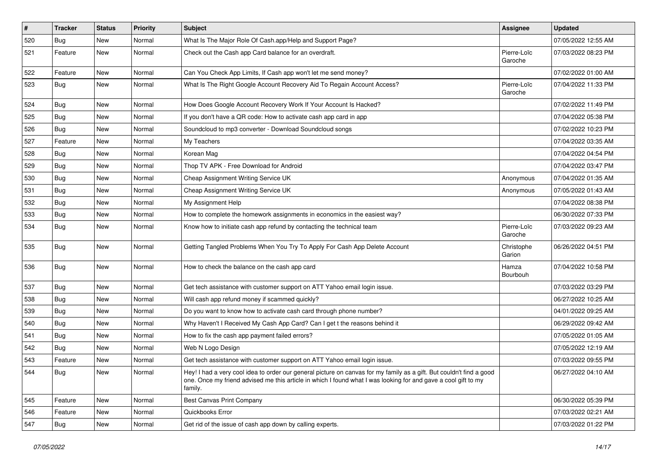| #   | <b>Tracker</b> | <b>Status</b> | <b>Priority</b> | <b>Subject</b>                                                                                                                                                                                                                                    | <b>Assignee</b>        | <b>Updated</b>      |
|-----|----------------|---------------|-----------------|---------------------------------------------------------------------------------------------------------------------------------------------------------------------------------------------------------------------------------------------------|------------------------|---------------------|
| 520 | <b>Bug</b>     | New           | Normal          | What Is The Major Role Of Cash.app/Help and Support Page?                                                                                                                                                                                         |                        | 07/05/2022 12:55 AM |
| 521 | Feature        | New           | Normal          | Check out the Cash app Card balance for an overdraft.                                                                                                                                                                                             | Pierre-Loïc<br>Garoche | 07/03/2022 08:23 PM |
| 522 | Feature        | New           | Normal          | Can You Check App Limits, If Cash app won't let me send money?                                                                                                                                                                                    |                        | 07/02/2022 01:00 AM |
| 523 | <b>Bug</b>     | New           | Normal          | What Is The Right Google Account Recovery Aid To Regain Account Access?                                                                                                                                                                           | Pierre-Loïc<br>Garoche | 07/04/2022 11:33 PM |
| 524 | <b>Bug</b>     | New           | Normal          | How Does Google Account Recovery Work If Your Account Is Hacked?                                                                                                                                                                                  |                        | 07/02/2022 11:49 PM |
| 525 | <b>Bug</b>     | New           | Normal          | If you don't have a QR code: How to activate cash app card in app                                                                                                                                                                                 |                        | 07/04/2022 05:38 PM |
| 526 | <b>Bug</b>     | New           | Normal          | Soundcloud to mp3 converter - Download Soundcloud songs                                                                                                                                                                                           |                        | 07/02/2022 10:23 PM |
| 527 | Feature        | New           | Normal          | My Teachers                                                                                                                                                                                                                                       |                        | 07/04/2022 03:35 AM |
| 528 | <b>Bug</b>     | New           | Normal          | Korean Mag                                                                                                                                                                                                                                        |                        | 07/04/2022 04:54 PM |
| 529 | Bug            | New           | Normal          | Thop TV APK - Free Download for Android                                                                                                                                                                                                           |                        | 07/04/2022 03:47 PM |
| 530 | Bug            | New           | Normal          | Cheap Assignment Writing Service UK                                                                                                                                                                                                               | Anonymous              | 07/04/2022 01:35 AM |
| 531 | <b>Bug</b>     | New           | Normal          | Cheap Assignment Writing Service UK                                                                                                                                                                                                               | Anonymous              | 07/05/2022 01:43 AM |
| 532 | <b>Bug</b>     | New           | Normal          | My Assignment Help                                                                                                                                                                                                                                |                        | 07/04/2022 08:38 PM |
| 533 | <b>Bug</b>     | New           | Normal          | How to complete the homework assignments in economics in the easiest way?                                                                                                                                                                         |                        | 06/30/2022 07:33 PM |
| 534 | <b>Bug</b>     | New           | Normal          | Know how to initiate cash app refund by contacting the technical team                                                                                                                                                                             | Pierre-Loïc<br>Garoche | 07/03/2022 09:23 AM |
| 535 | <b>Bug</b>     | New           | Normal          | Getting Tangled Problems When You Try To Apply For Cash App Delete Account                                                                                                                                                                        | Christophe<br>Garion   | 06/26/2022 04:51 PM |
| 536 | <b>Bug</b>     | New           | Normal          | How to check the balance on the cash app card                                                                                                                                                                                                     | Hamza<br>Bourbouh      | 07/04/2022 10:58 PM |
| 537 | <b>Bug</b>     | New           | Normal          | Get tech assistance with customer support on ATT Yahoo email login issue.                                                                                                                                                                         |                        | 07/03/2022 03:29 PM |
| 538 | Bug            | New           | Normal          | Will cash app refund money if scammed quickly?                                                                                                                                                                                                    |                        | 06/27/2022 10:25 AM |
| 539 | <b>Bug</b>     | New           | Normal          | Do you want to know how to activate cash card through phone number?                                                                                                                                                                               |                        | 04/01/2022 09:25 AM |
| 540 | <b>Bug</b>     | New           | Normal          | Why Haven't I Received My Cash App Card? Can I get t the reasons behind it                                                                                                                                                                        |                        | 06/29/2022 09:42 AM |
| 541 | <b>Bug</b>     | New           | Normal          | How to fix the cash app payment failed errors?                                                                                                                                                                                                    |                        | 07/05/2022 01:05 AM |
| 542 | <b>Bug</b>     | New           | Normal          | Web N Logo Design                                                                                                                                                                                                                                 |                        | 07/05/2022 12:19 AM |
| 543 | Feature        | New           | Normal          | Get tech assistance with customer support on ATT Yahoo email login issue.                                                                                                                                                                         |                        | 07/03/2022 09:55 PM |
| 544 | Bug            | New           | Normal          | Hey! I had a very cool idea to order our general picture on canvas for my family as a gift. But couldn't find a good<br>one. Once my friend advised me this article in which I found what I was looking for and gave a cool gift to my<br>family. |                        | 06/27/2022 04:10 AM |
| 545 | Feature        | New           | Normal          | <b>Best Canvas Print Company</b>                                                                                                                                                                                                                  |                        | 06/30/2022 05:39 PM |
| 546 | Feature        | New           | Normal          | Quickbooks Error                                                                                                                                                                                                                                  |                        | 07/03/2022 02:21 AM |
| 547 | <b>Bug</b>     | New           | Normal          | Get rid of the issue of cash app down by calling experts.                                                                                                                                                                                         |                        | 07/03/2022 01:22 PM |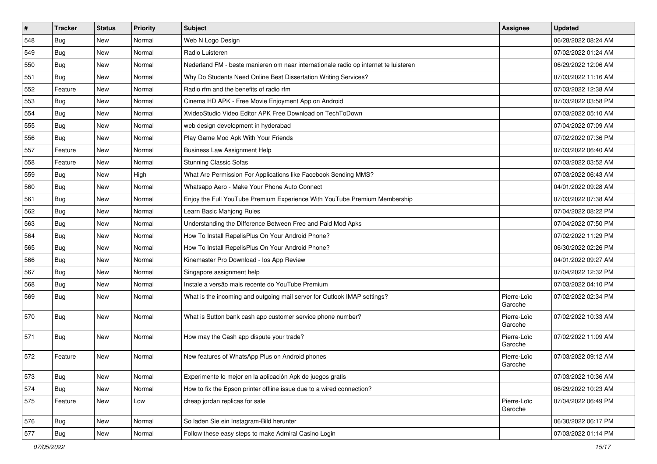| $\sharp$ | <b>Tracker</b> | <b>Status</b> | <b>Priority</b> | <b>Subject</b>                                                                      | <b>Assignee</b>        | <b>Updated</b>      |
|----------|----------------|---------------|-----------------|-------------------------------------------------------------------------------------|------------------------|---------------------|
| 548      | Bug            | New           | Normal          | Web N Logo Design                                                                   |                        | 06/28/2022 08:24 AM |
| 549      | <b>Bug</b>     | New           | Normal          | Radio Luisteren                                                                     |                        | 07/02/2022 01:24 AM |
| 550      | Bug            | New           | Normal          | Nederland FM - beste manieren om naar internationale radio op internet te luisteren |                        | 06/29/2022 12:06 AM |
| 551      | <b>Bug</b>     | New           | Normal          | Why Do Students Need Online Best Dissertation Writing Services?                     |                        | 07/03/2022 11:16 AM |
| 552      | Feature        | New           | Normal          | Radio rfm and the benefits of radio rfm                                             |                        | 07/03/2022 12:38 AM |
| 553      | Bug            | New           | Normal          | Cinema HD APK - Free Movie Enjoyment App on Android                                 |                        | 07/03/2022 03:58 PM |
| 554      | <b>Bug</b>     | New           | Normal          | XvideoStudio Video Editor APK Free Download on TechToDown                           |                        | 07/03/2022 05:10 AM |
| 555      | <b>Bug</b>     | New           | Normal          | web design development in hyderabad                                                 |                        | 07/04/2022 07:09 AM |
| 556      | <b>Bug</b>     | New           | Normal          | Play Game Mod Apk With Your Friends                                                 |                        | 07/02/2022 07:36 PM |
| 557      | Feature        | New           | Normal          | <b>Business Law Assignment Help</b>                                                 |                        | 07/03/2022 06:40 AM |
| 558      | Feature        | New           | Normal          | <b>Stunning Classic Sofas</b>                                                       |                        | 07/03/2022 03:52 AM |
| 559      | Bug            | New           | High            | What Are Permission For Applications like Facebook Sending MMS?                     |                        | 07/03/2022 06:43 AM |
| 560      | Bug            | New           | Normal          | Whatsapp Aero - Make Your Phone Auto Connect                                        |                        | 04/01/2022 09:28 AM |
| 561      | <b>Bug</b>     | New           | Normal          | Enjoy the Full YouTube Premium Experience With YouTube Premium Membership           |                        | 07/03/2022 07:38 AM |
| 562      | <b>Bug</b>     | New           | Normal          | Learn Basic Mahjong Rules                                                           |                        | 07/04/2022 08:22 PM |
| 563      | <b>Bug</b>     | New           | Normal          | Understanding the Difference Between Free and Paid Mod Apks                         |                        | 07/04/2022 07:50 PM |
| 564      | <b>Bug</b>     | New           | Normal          | How To Install RepelisPlus On Your Android Phone?                                   |                        | 07/02/2022 11:29 PM |
| 565      | Bug            | New           | Normal          | How To Install RepelisPlus On Your Android Phone?                                   |                        | 06/30/2022 02:26 PM |
| 566      | Bug            | New           | Normal          | Kinemaster Pro Download - los App Review                                            |                        | 04/01/2022 09:27 AM |
| 567      | <b>Bug</b>     | <b>New</b>    | Normal          | Singapore assignment help                                                           |                        | 07/04/2022 12:32 PM |
| 568      | <b>Bug</b>     | New           | Normal          | Instale a versão mais recente do YouTube Premium                                    |                        | 07/03/2022 04:10 PM |
| 569      | <b>Bug</b>     | New           | Normal          | What is the incoming and outgoing mail server for Outlook IMAP settings?            | Pierre-Loïc<br>Garoche | 07/02/2022 02:34 PM |
| 570      | <b>Bug</b>     | New           | Normal          | What is Sutton bank cash app customer service phone number?                         | Pierre-Loïc<br>Garoche | 07/02/2022 10:33 AM |
| 571      | <b>Bug</b>     | New           | Normal          | How may the Cash app dispute your trade?                                            | Pierre-Loïc<br>Garoche | 07/02/2022 11:09 AM |
| 572      | Feature        | New           | Normal          | New features of WhatsApp Plus on Android phones                                     | Pierre-Loïc<br>Garoche | 07/03/2022 09:12 AM |
| 573      | Bug            | New           | Normal          | Experimente lo mejor en la aplicación Apk de juegos gratis                          |                        | 07/03/2022 10:36 AM |
| 574      | <b>Bug</b>     | New           | Normal          | How to fix the Epson printer offline issue due to a wired connection?               |                        | 06/29/2022 10:23 AM |
| 575      | Feature        | New           | Low             | cheap jordan replicas for sale                                                      | Pierre-Loïc<br>Garoche | 07/04/2022 06:49 PM |
| 576      | <b>Bug</b>     | New           | Normal          | So laden Sie ein Instagram-Bild herunter                                            |                        | 06/30/2022 06:17 PM |
| 577      | Bug            | New           | Normal          | Follow these easy steps to make Admiral Casino Login                                |                        | 07/03/2022 01:14 PM |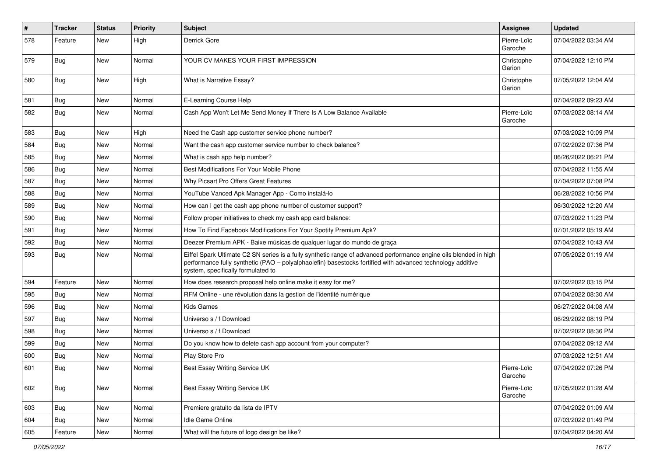| #   | <b>Tracker</b> | <b>Status</b> | <b>Priority</b> | <b>Subject</b>                                                                                                                                                                                                                                                        | <b>Assignee</b>        | <b>Updated</b>      |
|-----|----------------|---------------|-----------------|-----------------------------------------------------------------------------------------------------------------------------------------------------------------------------------------------------------------------------------------------------------------------|------------------------|---------------------|
| 578 | Feature        | New           | High            | Derrick Gore                                                                                                                                                                                                                                                          | Pierre-Loïc<br>Garoche | 07/04/2022 03:34 AM |
| 579 | Bug            | New           | Normal          | YOUR CV MAKES YOUR FIRST IMPRESSION                                                                                                                                                                                                                                   | Christophe<br>Garion   | 07/04/2022 12:10 PM |
| 580 | <b>Bug</b>     | New           | High            | What is Narrative Essay?                                                                                                                                                                                                                                              | Christophe<br>Garion   | 07/05/2022 12:04 AM |
| 581 | <b>Bug</b>     | New           | Normal          | E-Learning Course Help                                                                                                                                                                                                                                                |                        | 07/04/2022 09:23 AM |
| 582 | Bug            | <b>New</b>    | Normal          | Cash App Won't Let Me Send Money If There Is A Low Balance Available                                                                                                                                                                                                  | Pierre-Loïc<br>Garoche | 07/03/2022 08:14 AM |
| 583 | <b>Bug</b>     | New           | High            | Need the Cash app customer service phone number?                                                                                                                                                                                                                      |                        | 07/03/2022 10:09 PM |
| 584 | <b>Bug</b>     | New           | Normal          | Want the cash app customer service number to check balance?                                                                                                                                                                                                           |                        | 07/02/2022 07:36 PM |
| 585 | <b>Bug</b>     | New           | Normal          | What is cash app help number?                                                                                                                                                                                                                                         |                        | 06/26/2022 06:21 PM |
| 586 | Bug            | New           | Normal          | Best Modifications For Your Mobile Phone                                                                                                                                                                                                                              |                        | 07/04/2022 11:55 AM |
| 587 | <b>Bug</b>     | New           | Normal          | Why Picsart Pro Offers Great Features                                                                                                                                                                                                                                 |                        | 07/04/2022 07:08 PM |
| 588 | <b>Bug</b>     | New           | Normal          | YouTube Vanced Apk Manager App - Como instalá-lo                                                                                                                                                                                                                      |                        | 06/28/2022 10:56 PM |
| 589 | Bug            | New           | Normal          | How can I get the cash app phone number of customer support?                                                                                                                                                                                                          |                        | 06/30/2022 12:20 AM |
| 590 | <b>Bug</b>     | New           | Normal          | Follow proper initiatives to check my cash app card balance:                                                                                                                                                                                                          |                        | 07/03/2022 11:23 PM |
| 591 | <b>Bug</b>     | New           | Normal          | How To Find Facebook Modifications For Your Spotify Premium Apk?                                                                                                                                                                                                      |                        | 07/01/2022 05:19 AM |
| 592 | <b>Bug</b>     | New           | Normal          | Deezer Premium APK - Baixe músicas de qualquer lugar do mundo de graça                                                                                                                                                                                                |                        | 07/04/2022 10:43 AM |
| 593 | <b>Bug</b>     | New           | Normal          | Eiffel Spark Ultimate C2 SN series is a fully synthetic range of advanced performance engine oils blended in high<br>performance fully synthetic (PAO - polyalphaolefin) basestocks fortified with advanced technology additive<br>system, specifically formulated to |                        | 07/05/2022 01:19 AM |
| 594 | Feature        | New           | Normal          | How does research proposal help online make it easy for me?                                                                                                                                                                                                           |                        | 07/02/2022 03:15 PM |
| 595 | <b>Bug</b>     | New           | Normal          | RFM Online - une révolution dans la gestion de l'identité numérique                                                                                                                                                                                                   |                        | 07/04/2022 08:30 AM |
| 596 | <b>Bug</b>     | New           | Normal          | <b>Kids Games</b>                                                                                                                                                                                                                                                     |                        | 06/27/2022 04:08 AM |
| 597 | <b>Bug</b>     | New           | Normal          | Universo s / f Download                                                                                                                                                                                                                                               |                        | 06/29/2022 08:19 PM |
| 598 | <b>Bug</b>     | New           | Normal          | Universo s / f Download                                                                                                                                                                                                                                               |                        | 07/02/2022 08:36 PM |
| 599 | <b>Bug</b>     | New           | Normal          | Do you know how to delete cash app account from your computer?                                                                                                                                                                                                        |                        | 07/04/2022 09:12 AM |
| 600 | <b>Bug</b>     | New           | Normal          | Play Store Pro                                                                                                                                                                                                                                                        |                        | 07/03/2022 12:51 AM |
| 601 | Bug            | New           | Normal          | Best Essay Writing Service UK                                                                                                                                                                                                                                         | Pierre-Loïc<br>Garoche | 07/04/2022 07:26 PM |
| 602 | <b>Bug</b>     | New           | Normal          | Best Essay Writing Service UK                                                                                                                                                                                                                                         | Pierre-Loïc<br>Garoche | 07/05/2022 01:28 AM |
| 603 | Bug            | New           | Normal          | Premiere gratuito da lista de IPTV                                                                                                                                                                                                                                    |                        | 07/04/2022 01:09 AM |
| 604 | Bug            | New           | Normal          | Idle Game Online                                                                                                                                                                                                                                                      |                        | 07/03/2022 01:49 PM |
| 605 | Feature        | New           | Normal          | What will the future of logo design be like?                                                                                                                                                                                                                          |                        | 07/04/2022 04:20 AM |